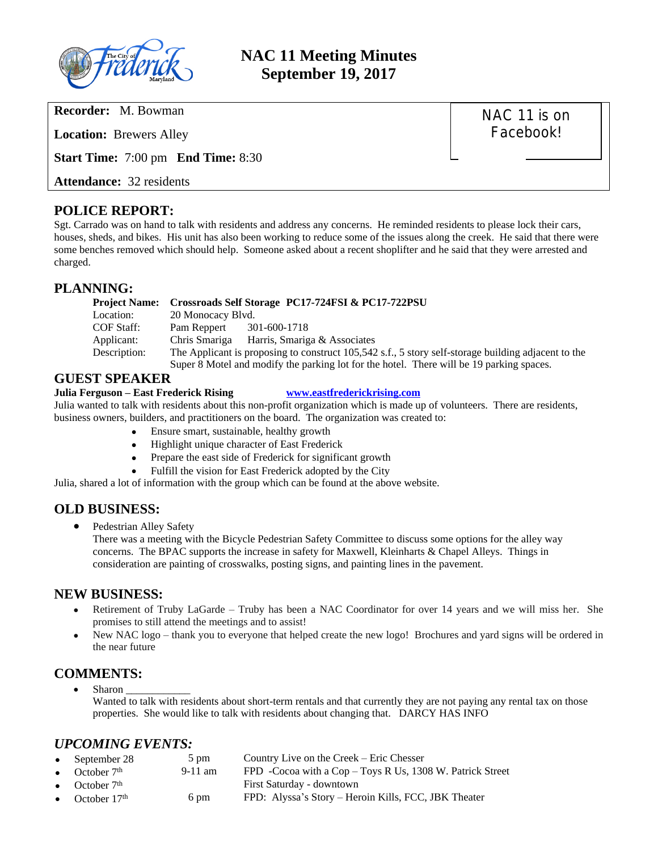

# **NAC 11 Meeting Minutes September 19, 2017**

**Recorder:** M. Bowman

**Location:** Brewers Alley

**Start Time:** 7:00 pm **End Time:** 8:30

**Attendance:** 32 residents

#### **POLICE REPORT:**

Sgt. Carrado was on hand to talk with residents and address any concerns. He reminded residents to please lock their cars, houses, sheds, and bikes. His unit has also been working to reduce some of the issues along the creek. He said that there were some benches removed which should help. Someone asked about a recent shoplifter and he said that they were arrested and charged.

#### **PLANNING:**

| <b>Project Name:</b> | Crossroads Self Storage PC17-724FSI & PC17-722PSU                                                   |                              |  |  |  |
|----------------------|-----------------------------------------------------------------------------------------------------|------------------------------|--|--|--|
| Location:            | 20 Monocacy Blvd.                                                                                   |                              |  |  |  |
| COF Staff:           | Pam Reppert                                                                                         | 301-600-1718                 |  |  |  |
| Applicant:           | Chris Smariga                                                                                       | Harris, Smariga & Associates |  |  |  |
| Description:         | The Applicant is proposing to construct 105,542 s.f., 5 story self-storage building adjacent to the |                              |  |  |  |
|                      | Super 8 Motel and modify the parking lot for the hotel. There will be 19 parking spaces.            |                              |  |  |  |

#### **GUEST SPEAKER**

#### **Julia Ferguson – East Frederick Rising [www.eastfrederickrising.com](http://www.eastfrederickrising.com)**

Julia wanted to talk with residents about this non-profit organization which is made up of volunteers. There are residents, business owners, builders, and practitioners on the board. The organization was created to:

- Ensure smart, sustainable, healthy growth
- Highlight unique character of East Frederick
- Prepare the east side of Frederick for significant growth
- Fulfill the vision for East Frederick adopted by the City

Julia, shared a lot of information with the group which can be found at the above website.

### **OLD BUSINESS:**

• Pedestrian Alley Safety

There was a meeting with the Bicycle Pedestrian Safety Committee to discuss some options for the alley way concerns. The BPAC supports the increase in safety for Maxwell, Kleinharts & Chapel Alleys. Things in consideration are painting of crosswalks, posting signs, and painting lines in the pavement.

#### **NEW BUSINESS:**

- Retirement of Truby LaGarde Truby has been a NAC Coordinator for over 14 years and we will miss her. She promises to still attend the meetings and to assist!
- New NAC logo thank you to everyone that helped create the new logo! Brochures and yard signs will be ordered in the near future

#### **COMMENTS:**

Sharon Wanted to talk with residents about short-term rentals and that currently they are not paying any rental tax on those properties. She would like to talk with residents about changing that. DARCY HAS INFO

#### *UPCOMING EVENTS:*

| • September 28   | $5 \text{ pm}$ | Country Live on the Creek – Eric Chesser                  |
|------------------|----------------|-----------------------------------------------------------|
| • October $7th$  | $9-11$ am      | FPD -Cocoa with a Cop - Toys R Us, 1308 W. Patrick Street |
| • October $7th$  |                | First Saturday - downtown                                 |
| • October $17th$ | 6 pm           | FPD: Alyssa's Story – Heroin Kills, FCC, JBK Theater      |

## NAC 11 is on Facebook!